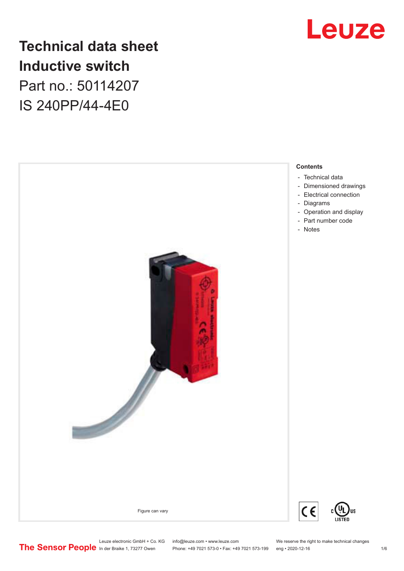

### **Technical data sheet Inductive switch** Part no.: 50114207

IS 240PP/44-4E0



Phone: +49 7021 573-0 • Fax: +49 7021 573-199 eng • 2020-12-16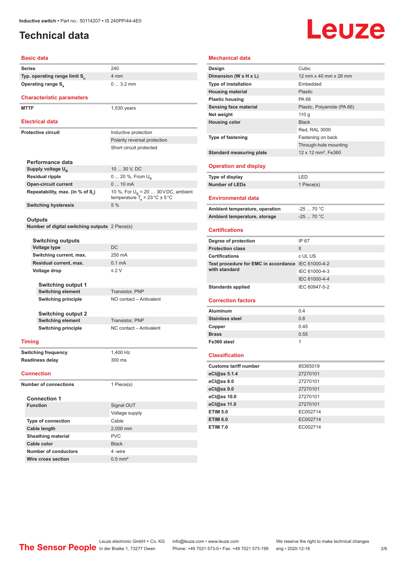### <span id="page-1-0"></span>**Technical data**

## Leuze

### **Basic data Series** 240 **Typ. operating range limit S<sup>n</sup>** 4 mm **Operating range S<sub>a</sub>** 0 ... 3.2 mm **Characteristic parameters MTTF** 1,530 years **Electrical data Protective circuit** Inductive protection Polarity reversal protection Short circuit protected **Performance data** Supply voltage U<sub>B</sub> 10 ... 30 V, DC **Residual ripple** 0 ... 20 %, From U<sub>B</sub> **Open-circuit current** 0 ... 10 mA **Repeatability, max. (in % of S<sup>r</sup> )** 10 %, For U<sub>B</sub> = 20 ... 30 V DC, ambient temperature  $T_{\rm a}$  = 23 °C  $\pm$  5 °C **Switching hysteresis** 5 % **Outputs Number of digital switching outputs** 2 Piece(s) **Switching outputs Voltage type** DC **Switching current, max.** 250 mA **Residual current, max.** 0.1 mA **Voltage drop** ≤ 2 V **Switching output 1 Switching element** Transistor, PNP **Switching principle** NO contact – Antivalent **Switching output 2 Switching element** Transistor, PNP **Switching principle** NC contact – Antivalent **Timing Switching frequency** 1,400 Hz **Readiness delay** 300 ms **Connection Number of connections** 1 Piece(s) **Connection 1 Signal OUT** Voltage supply **Type of connection** Cable **Cable length** 2,000 mm **Sheathing material** PVC **Cable color** Black **Number of conductors** 4 -wire

| <b>Mechanical data</b>                             |                                 |
|----------------------------------------------------|---------------------------------|
| Design                                             | Cubic                           |
| Dimension (W x H x L)                              | 12 mm x 40 mm x 26 mm           |
| <b>Type of installation</b>                        | Embedded                        |
| <b>Housing material</b>                            | Plastic                         |
| <b>Plastic housing</b>                             | PA 66                           |
| <b>Sensing face material</b>                       | Plastic, Polyamide (PA 66)      |
| Net weight                                         | 110g                            |
| <b>Housing color</b>                               | <b>Black</b>                    |
|                                                    | Red, RAL 3000                   |
| Type of fastening                                  | Fastening on back               |
|                                                    | Through-hole mounting           |
| <b>Standard measuring plate</b>                    | 12 x 12 mm <sup>2</sup> , Fe360 |
| <b>Operation and display</b>                       |                                 |
| Type of display                                    | LED                             |
| <b>Number of LEDs</b>                              | 1 Piece(s)                      |
| <b>Environmental data</b>                          |                                 |
| Ambient temperature, operation                     | $-2570 °C$                      |
| Ambient temperature, storage                       | $-25$ 70 °C                     |
| <b>Certifications</b>                              |                                 |
| Degree of protection                               | IP 67                           |
| <b>Protection class</b>                            | $\mathbf{II}$                   |
| <b>Certifications</b>                              | c UL US                         |
| Test procedure for EMC in accordance IEC 61000-4-2 |                                 |
| with standard                                      | IEC 61000-4-3                   |
|                                                    | IEC 61000-4-4                   |
| <b>Standards applied</b>                           | IEC 60947-5-2                   |
| <b>Correction factors</b>                          |                                 |
| <b>Aluminum</b>                                    | 0.4                             |
| <b>Stainless steel</b>                             | 0.8                             |
| Copper                                             | 0.45                            |
| <b>Brass</b>                                       | 0.55                            |
| Fe360 steel                                        | 1                               |
|                                                    |                                 |
| <b>Classification</b>                              |                                 |
| <b>Customs tariff number</b>                       | 85365019                        |
| eCl@ss 5.1.4                                       | 27270101                        |
| eCl@ss 8.0                                         | 27270101                        |
| eCl@ss 9.0                                         | 27270101                        |
| eCl@ss 10.0                                        | 27270101                        |
| eCl@ss 11.0                                        | 27270101                        |
| <b>ETIM 5.0</b>                                    | EC002714                        |
| <b>ETIM 6.0</b>                                    | EC002714                        |
| <b>ETIM 7.0</b>                                    | EC002714                        |

Leuze electronic GmbH + Co. KG info@leuze.com • www.leuze.com We reserve the right to make technical changes<br>
The Sensor People in der Braike 1, 73277 Owen Phone: +49 7021 573-0 • Fax: +49 7021 573-199 eng • 2020-12-16

**Wire cross section** 0.5 mm<sup>2</sup>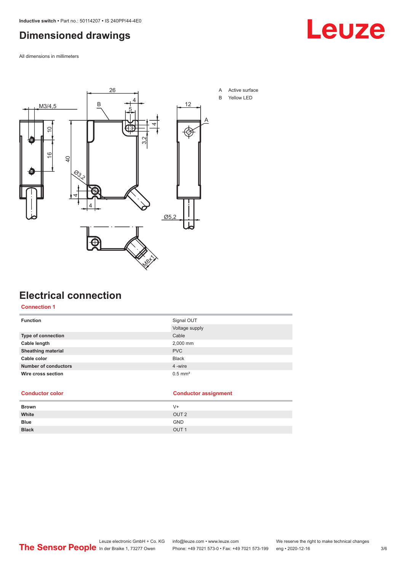### <span id="page-2-0"></span>**Dimensioned drawings**

All dimensions in millimeters



### **Electrical connection**

#### **Connection 1**

| <b>Function</b>             | Signal OUT            |
|-----------------------------|-----------------------|
|                             | Voltage supply        |
| Type of connection          | Cable                 |
| Cable length                | 2,000 mm              |
| <b>Sheathing material</b>   | <b>PVC</b>            |
| Cable color                 | <b>Black</b>          |
| <b>Number of conductors</b> | 4 -wire               |
| Wire cross section          | $0.5$ mm <sup>2</sup> |
|                             |                       |

#### **Conductor color Conductor assignment**

| V+               |
|------------------|
| OUT <sub>2</sub> |
| <b>GND</b>       |
| OUT <sub>1</sub> |
|                  |

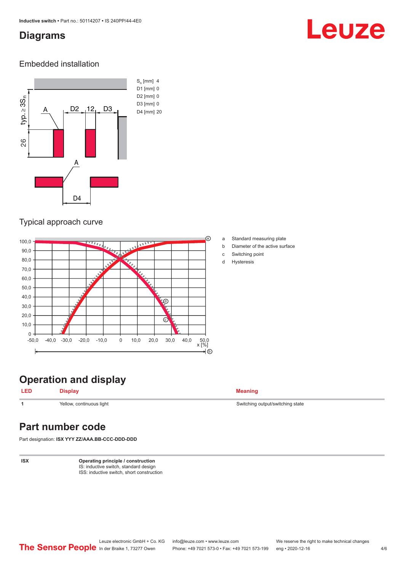### <span id="page-3-0"></span>**Diagrams**

## Leuze

### Embedded installation



### Typical approach curve



**Operation and display**

**LED Display Meaning**

**1** Yellow, continuous light Switching state Switching output/switching state

### **Part number code**

Part designation: **ISX YYY ZZ/AAA.BB-CCC-DDD-DDD**

**ISX Operating principle / construction** IS: inductive switch, standard design ISS: inductive switch, short construction

- a Standard measuring plate
- b Diameter of the active surface
- c Switching point
- d Hysteresis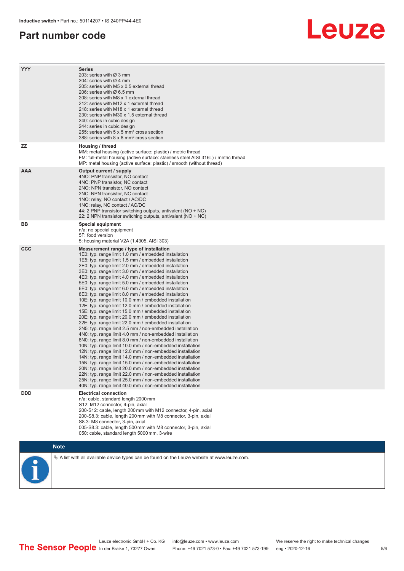### **Part number code**

### Leuze

| <b>YYY</b> | <b>Series</b><br>203: series with Ø 3 mm<br>204: series with Ø 4 mm<br>205: series with M5 x 0.5 external thread<br>206: series with Ø 6.5 mm<br>208: series with M8 x 1 external thread<br>212: series with M12 x 1 external thread<br>218: series with M18 x 1 external thread<br>230: series with M30 x 1.5 external thread<br>240: series in cubic design<br>244: series in cubic design<br>255: series with 5 x 5 mm <sup>2</sup> cross section<br>288: series with 8 x 8 mm <sup>2</sup> cross section                                                                                                                                                                                                                                                                                                                                                                                                                                                                                                                                                                                                                                                                                                                                                                                                                                                                                                                                                                                      |
|------------|---------------------------------------------------------------------------------------------------------------------------------------------------------------------------------------------------------------------------------------------------------------------------------------------------------------------------------------------------------------------------------------------------------------------------------------------------------------------------------------------------------------------------------------------------------------------------------------------------------------------------------------------------------------------------------------------------------------------------------------------------------------------------------------------------------------------------------------------------------------------------------------------------------------------------------------------------------------------------------------------------------------------------------------------------------------------------------------------------------------------------------------------------------------------------------------------------------------------------------------------------------------------------------------------------------------------------------------------------------------------------------------------------------------------------------------------------------------------------------------------------|
| ZZ.        | Housing / thread<br>MM: metal housing (active surface: plastic) / metric thread<br>FM: full-metal housing (active surface: stainless steel AISI 316L) / metric thread<br>MP: metal housing (active surface: plastic) / smooth (without thread)                                                                                                                                                                                                                                                                                                                                                                                                                                                                                                                                                                                                                                                                                                                                                                                                                                                                                                                                                                                                                                                                                                                                                                                                                                                    |
| <b>AAA</b> | Output current / supply<br>4NO: PNP transistor, NO contact<br>4NC: PNP transistor, NC contact<br>2NO: NPN transistor, NO contact<br>2NC: NPN transistor, NC contact<br>1NO: relay, NO contact / AC/DC<br>1NC: relay, NC contact / AC/DC<br>44: 2 PNP transistor switching outputs, antivalent (NO + NC)<br>22: 2 NPN transistor switching outputs, antivalent (NO + NC)                                                                                                                                                                                                                                                                                                                                                                                                                                                                                                                                                                                                                                                                                                                                                                                                                                                                                                                                                                                                                                                                                                                           |
| BB         | <b>Special equipment</b><br>n/a: no special equipment<br>5F: food version<br>5: housing material V2A (1.4305, AISI 303)                                                                                                                                                                                                                                                                                                                                                                                                                                                                                                                                                                                                                                                                                                                                                                                                                                                                                                                                                                                                                                                                                                                                                                                                                                                                                                                                                                           |
| <b>CCC</b> | Measurement range / type of installation<br>1E0: typ. range limit 1.0 mm / embedded installation<br>1E5: typ. range limit 1.5 mm / embedded installation<br>2E0: typ. range limit 2.0 mm / embedded installation<br>3E0: typ. range limit 3.0 mm / embedded installation<br>4E0: typ. range limit 4.0 mm / embedded installation<br>5E0: typ. range limit 5.0 mm / embedded installation<br>6E0: typ. range limit 6.0 mm / embedded installation<br>8E0: typ. range limit 8.0 mm / embedded installation<br>10E: typ. range limit 10.0 mm / embedded installation<br>12E: typ. range limit 12.0 mm / embedded installation<br>15E: typ. range limit 15.0 mm / embedded installation<br>20E: typ. range limit 20.0 mm / embedded installation<br>22E: typ. range limit 22.0 mm / embedded installation<br>2N5: typ. range limit 2.5 mm / non-embedded installation<br>4N0: typ. range limit 4.0 mm / non-embedded installation<br>8N0: typ. range limit 8.0 mm / non-embedded installation<br>10N: typ. range limit 10.0 mm / non-embedded installation<br>12N: typ. range limit 12.0 mm / non-embedded installation<br>14N: typ. range limit 14.0 mm / non-embedded installation<br>15N: typ. range limit 15.0 mm / non-embedded installation<br>20N: typ. range limit 20.0 mm / non-embedded installation<br>22N: typ. range limit 22.0 mm / non-embedded installation<br>25N: typ. range limit 25.0 mm / non-embedded installation<br>40N: typ. range limit 40.0 mm / non-embedded installation |
| <b>DDD</b> | <b>Electrical connection</b><br>n/a: cable, standard length 2000 mm<br>S12: M12 connector, 4-pin, axial<br>200-S12: cable, length 200 mm with M12 connector, 4-pin, axial<br>200-S8.3: cable, length 200 mm with M8 connector, 3-pin, axial<br>S8.3: M8 connector, 3-pin, axial<br>005-S8.3: cable, length 500 mm with M8 connector, 3-pin, axial<br>050: cable, standard length 5000 mm, 3-wire                                                                                                                                                                                                                                                                                                                                                                                                                                                                                                                                                                                                                                                                                                                                                                                                                                                                                                                                                                                                                                                                                                  |
|            | <b>Note</b>                                                                                                                                                                                                                                                                                                                                                                                                                                                                                                                                                                                                                                                                                                                                                                                                                                                                                                                                                                                                                                                                                                                                                                                                                                                                                                                                                                                                                                                                                       |
|            | $\&$ A list with all available device types can be found on the Leuze website at www.leuze.com.                                                                                                                                                                                                                                                                                                                                                                                                                                                                                                                                                                                                                                                                                                                                                                                                                                                                                                                                                                                                                                                                                                                                                                                                                                                                                                                                                                                                   |